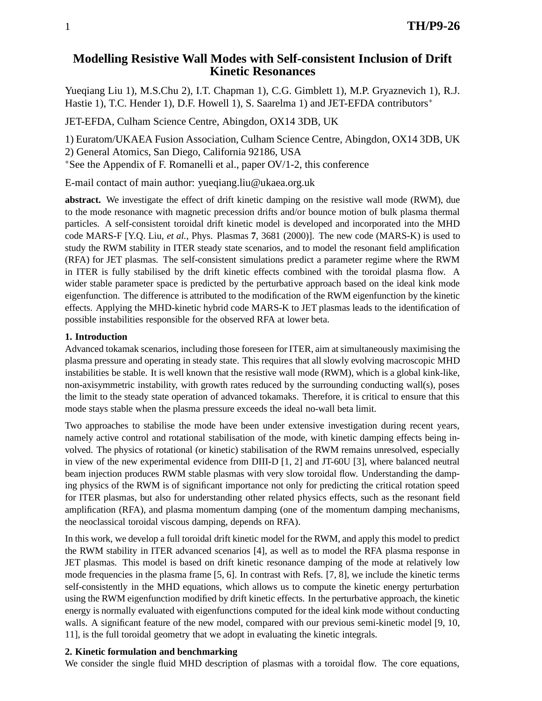# **Modelling Resistive Wall Modes with Self-consistent Inclusion of Drift Kinetic Resonances**

Yueqiang Liu 1), M.S.Chu 2), I.T. Chapman 1), C.G. Gimblett 1), M.P. Gryaznevich 1), R.J. Hastie 1), T.C. Hender 1), D.F. Howell 1), S. Saarelma 1) and JET-EFDA contributors<sup>\*</sup>

JET-EFDA, Culham Science Centre, Abingdon, OX14 3DB, UK

1) Euratom/UKAEA Fusion Association, Culham Science Centre, Abingdon, OX14 3DB, UK

2) General Atomics, San Diego, California 92186, USA

<sup>∗</sup>See the Appendix of F. Romanelli et al., paper OV/1-2, this conference

E-mail contact of main author: yueqiang.liu@ukaea.org.uk

**abstract.** We investigate the effect of drift kinetic damping on the resistive wall mode (RWM), due to the mode resonance with magnetic precession drifts and/or bounce motion of bulk plasma thermal particles. A self-consistent toroidal drift kinetic model is developed and incorporated into the MHD code MARS-F [Y.Q. Liu, *et al.*, Phys. Plasmas **7**, 3681 (2000)]. The new code (MARS-K) is used to study the RWM stability in ITER steady state scenarios, and to model the resonant field amplification (RFA) for JET plasmas. The self-consistent simulations predict a parameter regime where the RWM in ITER is fully stabilised by the drift kinetic effects combined with the toroidal plasma flow. A wider stable parameter space is predicted by the perturbative approach based on the ideal kink mode eigenfunction. The difference is attributed to the modification of the RWM eigenfunction by the kinetic effects. Applying the MHD-kinetic hybrid code MARS-K to JET plasmas leads to the identification of possible instabilities responsible for the observed RFA at lower beta.

# **1. Introduction**

Advanced tokamak scenarios, including those foreseen for ITER, aim at simultaneously maximising the plasma pressure and operating in steady state. This requires that all slowly evolving macroscopic MHD instabilities be stable. It is well known that the resistive wall mode (RWM), which is a global kink-like, non-axisymmetric instability, with growth rates reduced by the surrounding conducting wall(s), poses the limit to the steady state operation of advanced tokamaks. Therefore, it is critical to ensure that this mode stays stable when the plasma pressure exceeds the ideal no-wall beta limit.

Two approaches to stabilise the mode have been under extensive investigation during recent years, namely active control and rotational stabilisation of the mode, with kinetic damping effects being involved. The physics of rotational (or kinetic) stabilisation of the RWM remains unresolved, especially in view of the new experimental evidence from DIII-D [1, 2] and JT-60U [3], where balanced neutral beam injection produces RWM stable plasmas with very slow toroidal flow. Understanding the damping physics of the RWM is of significant importance not only for predicting the critical rotation speed for ITER plasmas, but also for understanding other related physics effects, such as the resonant field amplification (RFA), and plasma momentum damping (one of the momentum damping mechanisms, the neoclassical toroidal viscous damping, depends on RFA).

In this work, we develop a full toroidal drift kinetic model for the RWM, and apply this model to predict the RWM stability in ITER advanced scenarios [4], as well as to model the RFA plasma response in JET plasmas. This model is based on drift kinetic resonance damping of the mode at relatively low mode frequencies in the plasma frame [5, 6]. In contrast with Refs. [7, 8], we include the kinetic terms self-consistently in the MHD equations, which allows us to compute the kinetic energy perturbation using the RWM eigenfunction modified by drift kinetic effects. In the perturbative approach, the kinetic energy is normally evaluated with eigenfunctions computed for the ideal kink mode without conducting walls. A significant feature of the new model, compared with our previous semi-kinetic model [9, 10, 11], is the full toroidal geometry that we adopt in evaluating the kinetic integrals.

# **2. Kinetic formulation and benchmarking**

We consider the single fluid MHD description of plasmas with a toroidal flow. The core equations,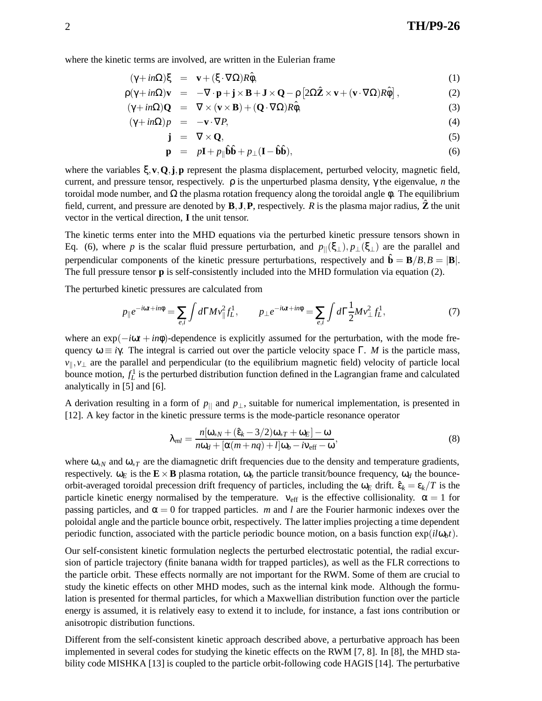where the kinetic terms are involved, are written in the Eulerian frame

$$
(\gamma + in\Omega)\xi = \mathbf{v} + (\xi \cdot \nabla \Omega)R\hat{\phi},\tag{1}
$$

$$
\rho(\gamma + in\Omega)\mathbf{v} = -\nabla \cdot \mathbf{p} + \mathbf{j} \times \mathbf{B} + \mathbf{J} \times \mathbf{Q} - \rho \left[2\Omega \hat{\mathbf{Z}} \times \mathbf{v} + (\mathbf{v} \cdot \nabla \Omega) R \hat{\phi}\right],
$$
 (2)

$$
(\gamma + in\Omega)\mathbf{Q} = \nabla \times (\mathbf{v} \times \mathbf{B}) + (\mathbf{Q} \cdot \nabla \Omega)R\hat{\phi},
$$
\n(3)

$$
(\gamma + in\Omega)p = -\mathbf{v} \cdot \nabla P,\tag{4}
$$

$$
\mathbf{j} = \nabla \times \mathbf{Q},\tag{5}
$$

$$
\mathbf{p} = p\mathbf{I} + p_{\parallel} \hat{\mathbf{b}} \hat{\mathbf{b}} + p_{\perp} (\mathbf{I} - \hat{\mathbf{b}} \hat{\mathbf{b}}), \tag{6}
$$

where the variables ξ,**v**,**Q**,**j**,**p** represent the plasma displacement, perturbed velocity, magnetic field, current, and pressure tensor, respectively. ρ is the unperturbed plasma density, γ the eigenvalue, *n* the toroidal mode number, and  $\Omega$  the plasma rotation frequency along the toroidal angle φ. The equilibrium field, current, and pressure are denoted by  $\mathbf{B}, \mathbf{J}, \mathbf{P}$ , respectively. *R* is the plasma major radius,  $\hat{\mathbf{Z}}$  the unit vector in the vertical direction, **I** the unit tensor.

The kinetic terms enter into the MHD equations via the perturbed kinetic pressure tensors shown in Eq. (6), where *p* is the scalar fluid pressure perturbation, and  $p_{\parallel}(\xi_{\perp}), p_{\perp}(\xi_{\perp})$  are the parallel and perpendicular components of the kinetic pressure perturbations, respectively and  $\hat{\mathbf{b}} = \mathbf{B}/B$ ,  $B = |\mathbf{B}|$ . The full pressure tensor **p** is self-consistently included into the MHD formulation via equation (2).

The perturbed kinetic pressures are calculated from

$$
p_{\parallel}e^{-i\omega t + in\phi} = \sum_{e,i} \int d\Gamma M v_{\parallel}^2 f_L^1, \qquad p_{\perp}e^{-i\omega t + in\phi} = \sum_{e,i} \int d\Gamma \frac{1}{2} M v_{\perp}^2 f_L^1,\tag{7}
$$

where an exp(−*i*ω*t* + *in*φ)-dependence is explicitly assumed for the perturbation, with the mode frequency  $ω ≡ iγ$ . The integral is carried out over the particle velocity space Γ. *M* is the particle mass, *v*<sub>||</sub>, *v*<sub>⊥</sub> are the parallel and perpendicular (to the equilibrium magnetic field) velocity of particle local bounce motion,  $f_L^1$  is the perturbed distribution function defined in the Lagrangian frame and calculated analytically in [5] and [6].

A derivation resulting in a form of  $p_{\parallel}$  and  $p_{\perp}$ , suitable for numerical implementation, is presented in [12]. A key factor in the kinetic pressure terms is the mode-particle resonance operator

$$
\lambda_{ml} = \frac{n[\omega_{*N} + (\hat{\epsilon}_k - 3/2)\omega_{*T} + \omega_E] - \omega}{n\omega_d + [\alpha(m+nq) + l]\omega_b - i\nu_{\text{eff}} - \omega},\tag{8}
$$

where ω<sub>∗*N*</sub> and ω<sub>\**T*</sub> are the diamagnetic drift frequencies due to the density and temperature gradients, respectively.  $ω<sub>E</sub>$  is the **E** × **B** plasma rotation,  $ω<sub>b</sub>$  the particle transit/bounce frequency,  $ω<sub>d</sub>$  the bounceorbit-averaged toroidal precession drift frequency of particles, including the  $\omega_E$  drift.  $\hat{\epsilon}_k = \epsilon_k/T$  is the particle kinetic energy normalised by the temperature.  $v_{\text{eff}}$  is the effective collisionality.  $\alpha = 1$  for passing particles, and  $\alpha = 0$  for trapped particles. *m* and *l* are the Fourier harmonic indexes over the poloidal angle and the particle bounce orbit, respectively. The latter implies projecting a time dependent periodic function, associated with the particle periodic bounce motion, on a basis function  $exp(i\omega_b t)$ .

Our self-consistent kinetic formulation neglects the perturbed electrostatic potential, the radial excursion of particle trajectory (finite banana width for trapped particles), as well as the FLR corrections to the particle orbit. These effects normally are not important for the RWM. Some of them are crucial to study the kinetic effects on other MHD modes, such as the internal kink mode. Although the formulation is presented for thermal particles, for which a Maxwellian distribution function over the particle energy is assumed, it is relatively easy to extend it to include, for instance, a fast ions contribution or anisotropic distribution functions.

Different from the self-consistent kinetic approach described above, a perturbative approach has been implemented in several codes for studying the kinetic effects on the RWM [7, 8]. In [8], the MHD stability code MISHKA [13] is coupled to the particle orbit-following code HAGIS [14]. The perturbative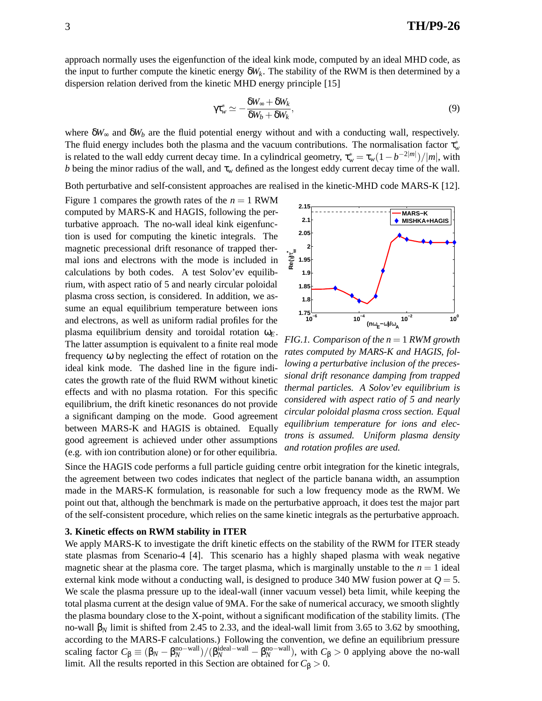approach normally uses the eigenfunction of the ideal kink mode, computed by an ideal MHD code, as the input to further compute the kinetic energy  $\delta W_k$ . The stability of the RWM is then determined by a dispersion relation derived from the kinetic MHD energy principle [15]

$$
\gamma \tau_w^* \simeq -\frac{\delta W_\infty + \delta W_k}{\delta W_b + \delta W_k},\tag{9}
$$

where  $\delta W_{\infty}$  and  $\delta W_b$  are the fluid potential energy without and with a conducting wall, respectively. The fluid energy includes both the plasma and the vacuum contributions. The normalisation factor  $\tau_w^*$ is related to the wall eddy current decay time. In a cylindrical geometry,  $\tau_w^* = \tau_w(1 - b^{-2|m|})/|m|$ , with *b* being the minor radius of the wall, and  $\tau_w$  defined as the longest eddy current decay time of the wall.

Both perturbative and self-consistent approaches are realised in the kinetic-MHD code MARS-K [12].

Figure 1 compares the growth rates of the  $n = 1$  RWM computed by MARS-K and HAGIS, following the perturbative approach. The no-wall ideal kink eigenfunction is used for computing the kinetic integrals. The magnetic precessional drift resonance of trapped thermal ions and electrons with the mode is included in calculations by both codes. A test Solov'ev equilibrium, with aspect ratio of 5 and nearly circular poloidal plasma cross section, is considered. In addition, we assume an equal equilibrium temperature between ions and electrons, as well as uniform radial profiles for the plasma equilibrium density and toroidal rotation  $\omega_F$ . The latter assumption is equivalent to a finite real mode frequency ω by neglecting the effect of rotation on the ideal kink mode. The dashed line in the figure indicates the growth rate of the fluid RWM without kinetic effects and with no plasma rotation. For this specific equilibrium, the drift kinetic resonances do not provide a significant damping on the mode. Good agreement between MARS-K and HAGIS is obtained. Equally good agreement is achieved under other assumptions (e.g. with ion contribution alone) or for other equilibria.



*FIG.1. Comparison of the n* = 1 *RWM growth rates computed by MARS-K and HAGIS, following a perturbative inclusion of the precessional drift resonance damping from trapped thermal particles. A Solov'ev equilibrium is considered with aspect ratio of 5 and nearly circular poloidal plasma cross section. Equal equilibrium temperature for ions and electrons is assumed. Uniform plasma density and rotation profiles are used.*

Since the HAGIS code performs a full particle guiding centre orbit integration for the kinetic integrals, the agreement between two codes indicates that neglect of the particle banana width, an assumption made in the MARS-K formulation, is reasonable for such a low frequency mode as the RWM. We point out that, although the benchmark is made on the perturbative approach, it does test the major part of the self-consistent procedure, which relies on the same kinetic integrals as the perturbative approach.

#### **3. Kinetic effects on RWM stability in ITER**

We apply MARS-K to investigate the drift kinetic effects on the stability of the RWM for ITER steady state plasmas from Scenario-4 [4]. This scenario has a highly shaped plasma with weak negative magnetic shear at the plasma core. The target plasma, which is marginally unstable to the  $n = 1$  ideal external kink mode without a conducting wall, is designed to produce 340 MW fusion power at  $Q = 5$ . We scale the plasma pressure up to the ideal-wall (inner vacuum vessel) beta limit, while keeping the total plasma current at the design value of 9MA. For the sake of numerical accuracy, we smooth slightly the plasma boundary close to the X-point, without a significant modification of the stability limits. (The no-wall  $β_N$  limit is shifted from 2.45 to 2.33, and the ideal-wall limit from 3.65 to 3.62 by smoothing, according to the MARS-F calculations.) Following the convention, we define an equilibrium pressure scaling factor  $C_{\beta} \equiv (\beta_N - \beta_N^{\text{no-wall}})/(\beta_N^{\text{ideal-wall}} - \beta_N^{\text{no-wall}})$ , with  $C_{\beta} > 0$  applying above the no-wall limit. All the results reported in this Section are obtained for  $C_\beta > 0$ .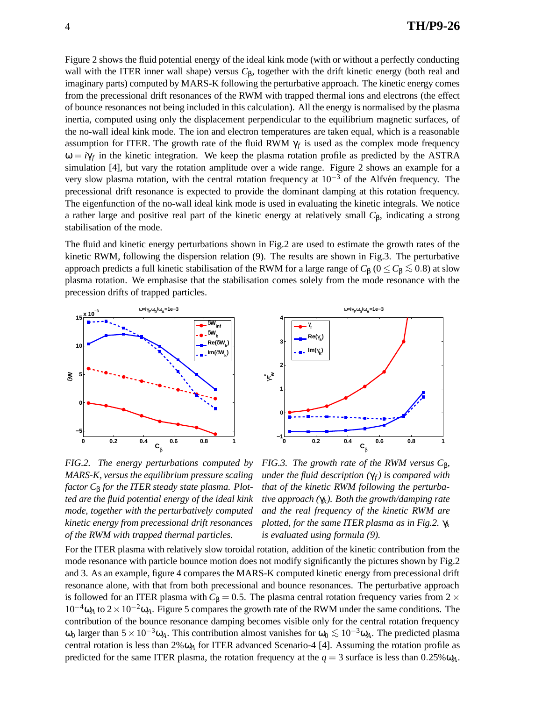Figure 2 shows the fluid potential energy of the ideal kink mode (with or without a perfectly conducting wall with the ITER inner wall shape) versus *C*β, together with the drift kinetic energy (both real and imaginary parts) computed by MARS-K following the perturbative approach. The kinetic energy comes from the precessional drift resonances of the RWM with trapped thermal ions and electrons (the effect of bounce resonances not being included in this calculation). All the energy is normalised by the plasma inertia, computed using only the displacement perpendicular to the equilibrium magnetic surfaces, of the no-wall ideal kink mode. The ion and electron temperatures are taken equal, which is a reasonable assumption for ITER. The growth rate of the fluid RWM  $\gamma_f$  is used as the complex mode frequency  $\omega = i\gamma_f$  in the kinetic integration. We keep the plasma rotation profile as predicted by the ASTRA simulation [4], but vary the rotation amplitude over a wide range. Figure 2 shows an example for a very slow plasma rotation, with the central rotation frequency at  $10^{-3}$  of the Alfvén frequency. The precessional drift resonance is expected to provide the dominant damping at this rotation frequency. The eigenfunction of the no-wall ideal kink mode is used in evaluating the kinetic integrals. We notice a rather large and positive real part of the kinetic energy at relatively small *C*β, indicating a strong stabilisation of the mode.

The fluid and kinetic energy perturbations shown in Fig.2 are used to estimate the growth rates of the kinetic RWM, following the dispersion relation (9). The results are shown in Fig.3. The perturbative approach predicts a full kinetic stabilisation of the RWM for a large range of  $C_\beta$  ( $0 \le C_\beta \lesssim 0.8$ ) at slow plasma rotation. We emphasise that the stabilisation comes solely from the mode resonance with the precession drifts of trapped particles.





*FIG.2. The energy perturbations computed by MARS-K, versus the equilibrium pressure scaling factor C*<sup>β</sup> *for the ITER steady state plasma. Plotted are the fluid potential energy of the ideal kink mode, together with the perturbatively computed kinetic energy from precessional drift resonances of the RWM with trapped thermal particles.*

*FIG.3. The growth rate of the RWM versus C*β*, under the fluid description*  $(\gamma_f)$  *is compared with that of the kinetic RWM following the perturbative approach (*γ*k). Both the growth/damping rate and the real frequency of the kinetic RWM are plotted, for the same ITER plasma as in Fig.2.* γ*<sup>k</sup> is evaluated using formula (9).*

For the ITER plasma with relatively slow toroidal rotation, addition of the kinetic contribution from the mode resonance with particle bounce motion does not modify significantly the pictures shown by Fig.2 and 3. As an example, figure 4 compares the MARS-K computed kinetic energy from precessional drift resonance alone, with that from both precessional and bounce resonances. The perturbative approach is followed for an ITER plasma with  $C_\beta = 0.5$ . The plasma central rotation frequency varies from 2  $\times$ 10−4ω*<sup>A</sup>* to 2×10−2ω*A*. Figure 5 compares the growth rate of the RWM under the same conditions. The contribution of the bounce resonance damping becomes visible only for the central rotation frequency  $ω_0$  larger than 5 × 10<sup>-3</sup>ω<sub>A</sub>. This contribution almost vanishes for  $ω_0 ≤ 10<sup>-3</sup>ω<sub>A</sub>$ . The predicted plasma central rotation is less than 2%ω*<sup>A</sup>* for ITER advanced Scenario-4 [4]. Assuming the rotation profile as predicted for the same ITER plasma, the rotation frequency at the  $q = 3$  surface is less than  $0.25\% \omega_A$ .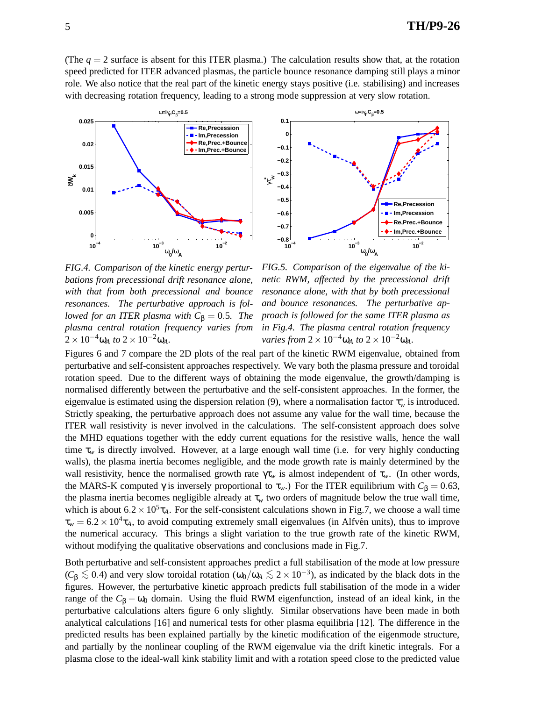(The  $q = 2$  surface is absent for this ITER plasma.) The calculation results show that, at the rotation speed predicted for ITER advanced plasmas, the particle bounce resonance damping still plays a minor role. We also notice that the real part of the kinetic energy stays positive (i.e. stabilising) and increases with decreasing rotation frequency, leading to a strong mode suppression at very slow rotation.





*FIG.4. Comparison of the kinetic energy perturbations from precessional drift resonance alone, with that from both precessional and bounce resonances. The perturbative approach is followed for an ITER plasma with*  $C_\beta = 0.5$ *. The plasma central rotation frequency varies from*  $2 \times 10^{-4} \omega_A$  *to*  $2 \times 10^{-2} \omega_A$ *.* 

*FIG.5. Comparison of the eigenvalue of the kinetic RWM, affected by the precessional drift resonance alone, with that by both precessional and bounce resonances. The perturbative approach is followed for the same ITER plasma as in Fig.4. The plasma central rotation frequency varies from*  $2 \times 10^{-4} \omega_A$  *to*  $2 \times 10^{-2} \omega_A$ *.* 

Figures 6 and 7 compare the 2D plots of the real part of the kinetic RWM eigenvalue, obtained from perturbative and self-consistent approaches respectively. We vary both the plasma pressure and toroidal rotation speed. Due to the different ways of obtaining the mode eigenvalue, the growth/damping is normalised differently between the perturbative and the self-consistent approaches. In the former, the eigenvalue is estimated using the dispersion relation (9), where a normalisation factor  $\tau_w^*$  is introduced. Strictly speaking, the perturbative approach does not assume any value for the wall time, because the ITER wall resistivity is never involved in the calculations. The self-consistent approach does solve the MHD equations together with the eddy current equations for the resistive walls, hence the wall time  $\tau_w$  is directly involved. However, at a large enough wall time (i.e. for very highly conducting walls), the plasma inertia becomes negligible, and the mode growth rate is mainly determined by the wall resistivity, hence the normalised growth rate  $\gamma \tau_w$  is almost independent of  $\tau_w$ . (In other words, the MARS-K computed  $\gamma$  is inversely proportional to  $\tau_w$ .) For the ITER equilibrium with  $C_\beta = 0.63$ , the plasma inertia becomes negligible already at  $\tau_w$  two orders of magnitude below the true wall time, which is about  $6.2 \times 10^5 \tau_A$ . For the self-consistent calculations shown in Fig.7, we choose a wall time  $\tau_w = 6.2 \times 10^4 \tau_A$ , to avoid computing extremely small eigenvalues (in Alfvén units), thus to improve the numerical accuracy. This brings a slight variation to the true growth rate of the kinetic RWM, without modifying the qualitative observations and conclusions made in Fig.7.

Both perturbative and self-consistent approaches predict a full stabilisation of the mode at low pressure  $(C_\beta \lesssim 0.4)$  and very slow toroidal rotation  $(\omega_0/\omega_A \lesssim 2 \times 10^{-3})$ , as indicated by the black dots in the figures. However, the perturbative kinetic approach predicts full stabilisation of the mode in a wider range of the  $C_β - ω_0$  domain. Using the fluid RWM eigenfunction, instead of an ideal kink, in the perturbative calculations alters figure 6 only slightly. Similar observations have been made in both analytical calculations [16] and numerical tests for other plasma equilibria [12]. The difference in the predicted results has been explained partially by the kinetic modification of the eigenmode structure, and partially by the nonlinear coupling of the RWM eigenvalue via the drift kinetic integrals. For a plasma close to the ideal-wall kink stability limit and with a rotation speed close to the predicted value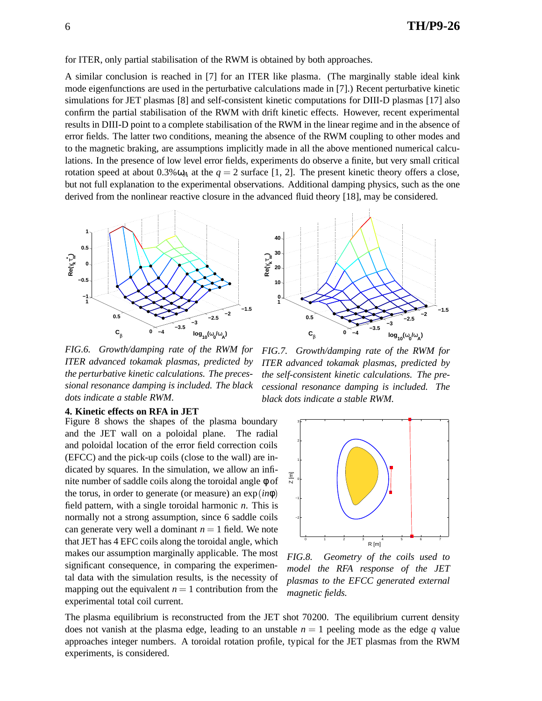for ITER, only partial stabilisation of the RWM is obtained by both approaches.

A similar conclusion is reached in [7] for an ITER like plasma. (The marginally stable ideal kink mode eigenfunctions are used in the perturbative calculations made in [7].) Recent perturbative kinetic simulations for JET plasmas [8] and self-consistent kinetic computations for DIII-D plasmas [17] also confirm the partial stabilisation of the RWM with drift kinetic effects. However, recent experimental results in DIII-D point to a complete stabilisation of the RWM in the linear regime and in the absence of error fields. The latter two conditions, meaning the absence of the RWM coupling to other modes and to the magnetic braking, are assumptions implicitly made in all the above mentioned numerical calculations. In the presence of low level error fields, experiments do observe a finite, but very small critical rotation speed at about  $0.3\% \omega_A$  at the  $q = 2$  surface [1, 2]. The present kinetic theory offers a close, but not full explanation to the experimental observations. Additional damping physics, such as the one derived from the nonlinear reactive closure in the advanced fluid theory [18], may be considered.



*FIG.6. Growth/damping rate of the RWM for ITER advanced tokamak plasmas, predicted by the perturbative kinetic calculations. The precessional resonance damping is included. The black dots indicate a stable RWM.*

#### **4. Kinetic effects on RFA in JET**

Figure 8 shows the shapes of the plasma boundary and the JET wall on a poloidal plane. The radial and poloidal location of the error field correction coils (EFCC) and the pick-up coils (close to the wall) are indicated by squares. In the simulation, we allow an infinite number of saddle coils along the toroidal angle φ of the torus, in order to generate (or measure) an exp(*in*φ) field pattern, with a single toroidal harmonic *n*. This is normally not a strong assumption, since 6 saddle coils can generate very well a dominant  $n = 1$  field. We note that JET has 4 EFC coils along the toroidal angle, which makes our assumption marginally applicable. The most significant consequence, in comparing the experimental data with the simulation results, is the necessity of mapping out the equivalent  $n = 1$  contribution from the experimental total coil current.



*FIG.7. Growth/damping rate of the RWM for ITER advanced tokamak plasmas, predicted by the self-consistent kinetic calculations. The precessional resonance damping is included. The black dots indicate a stable RWM.*



*FIG.8. Geometry of the coils used to model the RFA response of the JET plasmas to the EFCC generated external magnetic fields.*

The plasma equilibrium is reconstructed from the JET shot 70200. The equilibrium current density does not vanish at the plasma edge, leading to an unstable  $n = 1$  peeling mode as the edge q value approaches integer numbers. A toroidal rotation profile, typical for the JET plasmas from the RWM experiments, is considered.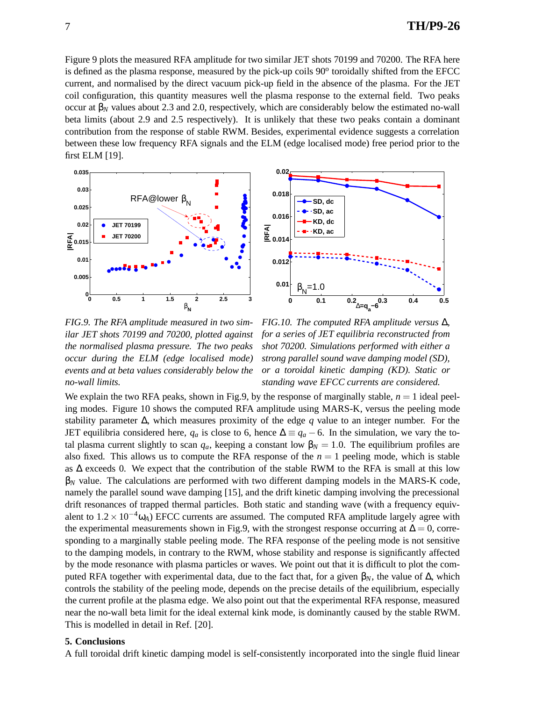Figure 9 plots the measured RFA amplitude for two similar JET shots 70199 and 70200. The RFA here is defined as the plasma response, measured by the pick-up coils 90° toroidally shifted from the EFCC current, and normalised by the direct vacuum pick-up field in the absence of the plasma. For the JET coil configuration, this quantity measures well the plasma response to the external field. Two peaks occur at  $β_N$  values about 2.3 and 2.0, respectively, which are considerably below the estimated no-wall beta limits (about 2.9 and 2.5 respectively). It is unlikely that these two peaks contain a dominant contribution from the response of stable RWM. Besides, experimental evidence suggests a correlation between these low frequency RFA signals and the ELM (edge localised mode) free period prior to the first ELM [19].



*FIG.9. The RFA amplitude measured in two similar JET shots 70199 and 70200, plotted against the normalised plasma pressure. The two peaks occur during the ELM (edge localised mode) events and at beta values considerably below the no-wall limits.*

*FIG.10. The computed RFA amplitude versus* ∆*, for a series of JET equilibria reconstructed from shot 70200. Simulations performed with either a strong parallel sound wave damping model (SD), or a toroidal kinetic damping (KD). Static or standing wave EFCC currents are considered.*

We explain the two RFA peaks, shown in Fig.9, by the response of marginally stable,  $n = 1$  ideal peeling modes. Figure 10 shows the computed RFA amplitude using MARS-K, versus the peeling mode stability parameter ∆, which measures proximity of the edge *q* value to an integer number. For the JET equilibria considered here,  $q_a$  is close to 6, hence  $\Delta \equiv q_a - 6$ . In the simulation, we vary the total plasma current slightly to scan  $q_a$ , keeping a constant low  $\beta_N = 1.0$ . The equilibrium profiles are also fixed. This allows us to compute the RFA response of the  $n = 1$  peeling mode, which is stable as ∆ exceeds 0. We expect that the contribution of the stable RWM to the RFA is small at this low  $\beta_N$  value. The calculations are performed with two different damping models in the MARS-K code, namely the parallel sound wave damping [15], and the drift kinetic damping involving the precessional drift resonances of trapped thermal particles. Both static and standing wave (with a frequency equivalent to  $1.2 \times 10^{-4} \omega_A$ ) EFCC currents are assumed. The computed RFA amplitude largely agree with the experimental measurements shown in Fig.9, with the strongest response occurring at  $\Delta = 0$ , corresponding to a marginally stable peeling mode. The RFA response of the peeling mode is not sensitive to the damping models, in contrary to the RWM, whose stability and response is significantly affected by the mode resonance with plasma particles or waves. We point out that it is difficult to plot the computed RFA together with experimental data, due to the fact that, for a given  $β_N$ , the value of  $Δ$ , which controls the stability of the peeling mode, depends on the precise details of the equilibrium, especially the current profile at the plasma edge. We also point out that the experimental RFA response, measured near the no-wall beta limit for the ideal external kink mode, is dominantly caused by the stable RWM. This is modelled in detail in Ref. [20].

## **5. Conclusions**

A full toroidal drift kinetic damping model is self-consistently incorporated into the single fluid linear